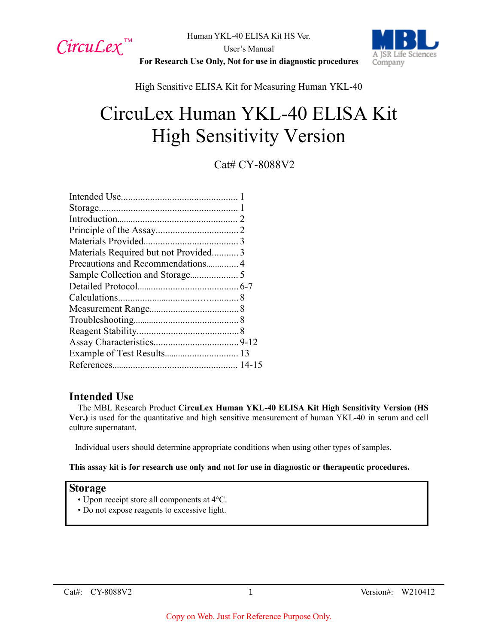

Human YKL-40 ELISA Kit HS Ver. User's Manual

A JSR Life Sciences Company

**For Research Use Only, Not for use in diagnostic procedures**

High Sensitive ELISA Kit for Measuring Human YKL-40

# CircuLex Human YKL-40 ELISA Kit High Sensitivity Version

# Cat# CY-8088V2

| Materials Required but not Provided3 |  |
|--------------------------------------|--|
| Precautions and Recommendations 4    |  |
|                                      |  |
|                                      |  |
|                                      |  |
|                                      |  |
|                                      |  |
|                                      |  |
|                                      |  |
|                                      |  |
|                                      |  |
|                                      |  |

# **Intended Use**

The MBL Research Product **CircuLex Human YKL-40 ELISA Kit High Sensitivity Version (HS Ver.)** is used for the quantitative and high sensitive measurement of human YKL-40 in serum and cell culture supernatant.

Individual users should determine appropriate conditions when using other types of samples.

**This assay kit is for research use only and not for use in diagnostic or therapeutic procedures.**

# **Storage**

- Upon receipt store all components at 4°C.
- Do not expose reagents to excessive light.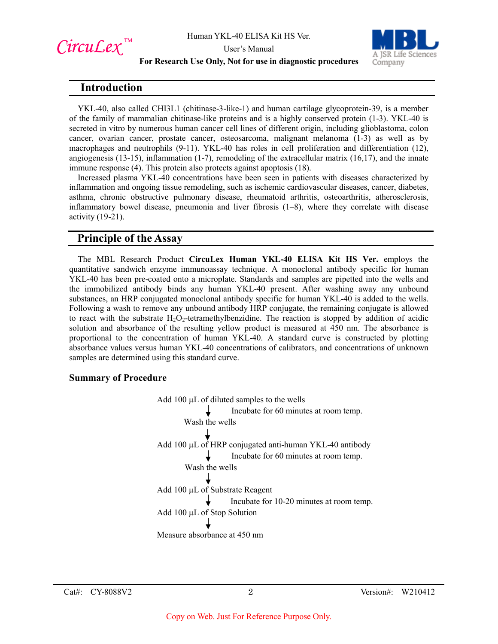*CircuLex*™

User's Manual



#### **For Research Use Only, Not for use in diagnostic procedures**

#### **Introduction**

YKL-40, also called CHI3L1 (chitinase-3-like-1) and human cartilage glycoprotein-39, is a member of the family of mammalian chitinase-like proteins and is a highly conserved protein (1-3). YKL-40 is secreted in vitro by numerous human cancer cell lines of different origin, including glioblastoma, colon cancer, ovarian cancer, prostate cancer, osteosarcoma, malignant melanoma (1-3) as well as by macrophages and neutrophils (9-11). YKL-40 has roles in cell proliferation and differentiation (12), angiogenesis  $(13-15)$ , inflammation  $(1-7)$ , remodeling of the extracellular matrix  $(16,17)$ , and the innate immune response (4). This protein also protects against apoptosis (18).

Increased plasma YKL-40 concentrations have been seen in patients with diseases characterized by inflammation and ongoing tissue remodeling, such as ischemic cardiovascular diseases, cancer, diabetes, asthma, chronic obstructive pulmonary disease, rheumatoid arthritis, osteoarthritis, atherosclerosis, inflammatory bowel disease, pneumonia and liver fibrosis  $(1-8)$ , where they correlate with disease activity (19-21).

# **Principle of the Assay**

The MBL Research Product **CircuLex Human YKL-40 ELISA Kit HS Ver.** employs the quantitative sandwich enzyme immunoassay technique. A monoclonal antibody specific for human YKL-40 has been pre-coated onto a microplate. Standards and samples are pipetted into the wells and the immobilized antibody binds any human YKL-40 present. After washing away any unbound substances, an HRP conjugated monoclonal antibody specific for human YKL-40 is added to the wells. Following a wash to remove any unbound antibody HRP conjugate, the remaining conjugate is allowed to react with the substrate  $H_2O_2$ -tetramethylbenzidine. The reaction is stopped by addition of acidic solution and absorbance of the resulting yellow product is measured at 450 nm. The absorbance is proportional to the concentration of human YKL-40. A standard curve is constructed by plotting absorbance values versus human YKL-40 concentrations of calibrators, and concentrations of unknown samples are determined using this standard curve.

#### **Summary of Procedure**

Add  $100 \mu L$  of diluted samples to the wells Incubate for 60 minutes at room temp. Wash the wells Add 100 µL of HRP conjugated anti-human YKL-40 antibody Incubate for 60 minutes at room temp. Wash the wells Add 100 µL of Substrate Reagent Incubate for 10-20 minutes at room temp. Add 100 µL of Stop Solution Measure absorbance at 450 nm

Cat#: CY-8088V2 2 Version#: W210412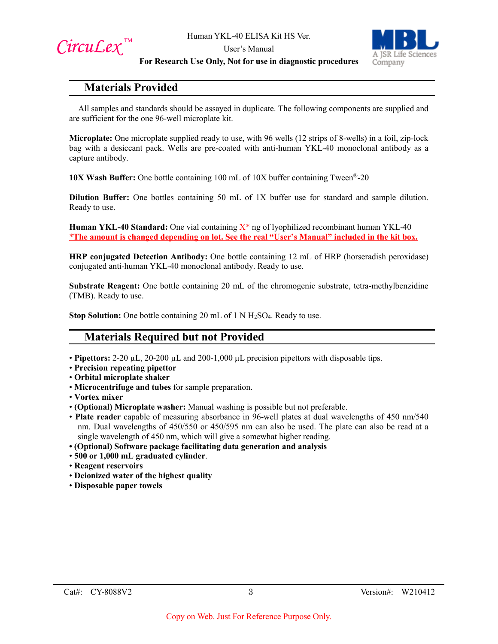Circu*Lex*™

User's Manual



#### **For Research Use Only, Not for use in diagnostic procedures**

# **Materials Provided**

All samples and standards should be assayed in duplicate. The following components are supplied and are sufficient for the one 96-well microplate kit.

**Microplate:** One microplate supplied ready to use, with 96 wells (12 strips of 8-wells) in a foil, zip-lock bag with a desiccant pack. Wells are pre-coated with anti-human YKL-40 monoclonal antibody as a capture antibody.

**10X Wash Buffer:** One bottle containing 100 mL of 10X buffer containing Tween®-20

**Dilution Buffer:** One bottles containing 50 mL of 1X buffer use for standard and sample dilution. Ready to use.

**Human YKL-40 Standard:** One vial containing X\* ng of lyophilized recombinant human YKL-40 \***The amount is changed depending on lot. See the real "User's Manual" included in the kit box.**

**HRP conjugated Detection Antibody:** One bottle containing 12 mL of HRP (horseradish peroxidase) conjugated anti-human YKL-40 monoclonal antibody. Ready to use.

**Substrate Reagent:** One bottle containing 20 mL of the chromogenic substrate, tetra-methylbenzidine (TMB). Ready to use.

**Stop Solution:** One bottle containing 20 mL of 1 N H<sub>2</sub>SO<sub>4</sub>. Ready to use.

# **Materials Required but not Provided**

- **Pipettors:** 2-20 µL, 20-200 µL and 200-1,000 µL precision pipettors with disposable tips.
- **Precision repeating pipettor**
- **Orbital microplate shaker**
- **Microcentrifuge and tubes** for sample preparation.
- **Vortex mixer**
- **(Optional) Microplate washer:** Manual washing is possible but not preferable.
- **Plate reader** capable of measuring absorbance in 96-well plates at dual wavelengths of 450 nm/540 nm. Dual wavelengths of 450/550 or 450/595 nm can also be used. The plate can also be read at a single wavelength of 450 nm, which will give a somewhat higher reading.
- **(Optional) Software package facilitating data generation and analysis**
- **500 or 1,000 mL graduated cylinder**.
- **Reagent reservoirs**
- **Deionized water of the highest quality**
- **Disposable paper towels**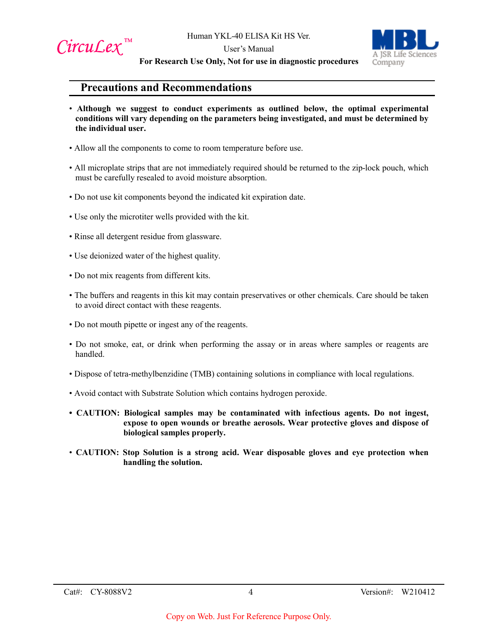

User's Manual



**For Research Use Only, Not for use in diagnostic procedures**

# **Precautions and Recommendations**

- **Although we suggest to conduct experiments as outlined below, the optimal experimental conditions will vary depending on the parameters being investigated, and must be determined by the individual user.**
- Allow all the components to come to room temperature before use.
- All microplate strips that are not immediately required should be returned to the zip-lock pouch, which must be carefully resealed to avoid moisture absorption.
- Do not use kit components beyond the indicated kit expiration date.
- Use only the microtiter wells provided with the kit.
- Rinse all detergent residue from glassware.
- Use deionized water of the highest quality.
- Do not mix reagents from different kits.
- The buffers and reagents in this kit may contain preservatives or other chemicals. Care should be taken to avoid direct contact with these reagents.
- Do not mouth pipette or ingest any of the reagents.
- Do not smoke, eat, or drink when performing the assay or in areas where samples or reagents are handled.
- Dispose of tetra-methylbenzidine (TMB) containing solutions in compliance with local regulations.
- Avoid contact with Substrate Solution which contains hydrogen peroxide.
- **CAUTION: Biological samples may be contaminated with infectious agents. Do not ingest, expose to open wounds or breathe aerosols. Wear protective gloves and dispose of biological samples properly.**
- **CAUTION: Stop Solution is a strong acid. Wear disposable gloves and eye protection when handling the solution.**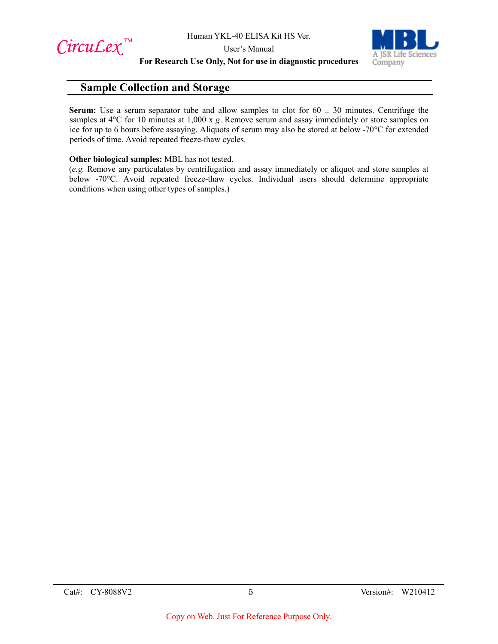$Circu$ *Lex*™

User's Manual



**For Research Use Only, Not for use in diagnostic procedures**

# **Sample Collection and Storage**

**Serum:** Use a serum separator tube and allow samples to clot for  $60 \pm 30$  minutes. Centrifuge the samples at 4°C for 10 minutes at 1,000 x *g*. Remove serum and assay immediately or store samples on ice for up to 6 hours before assaying. Aliquots of serum may also be stored at below -70°C for extended periods of time. Avoid repeated freeze-thaw cycles.

#### **Other biological samples:** MBL has not tested.

(*e.g.* Remove any particulates by centrifugation and assay immediately or aliquot and store samples at below -70°C. Avoid repeated freeze-thaw cycles. Individual users should determine appropriate conditions when using other types of samples.)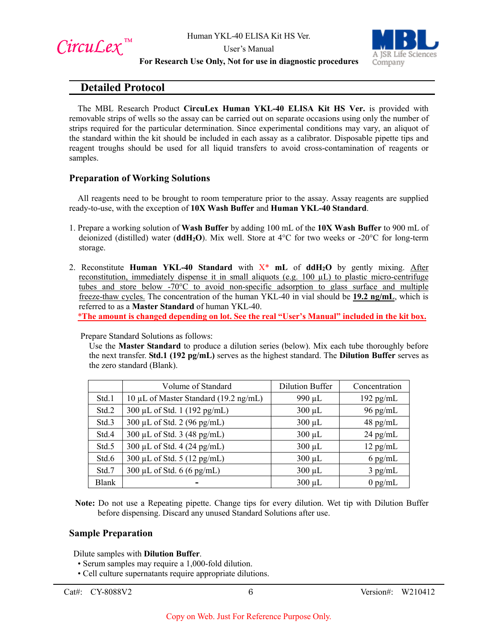

User's Manual



**For Research Use Only, Not for use in diagnostic procedures**

# **Detailed Protocol**

The MBL Research Product **CircuLex Human YKL-40 ELISA Kit HS Ver.** is provided with removable strips of wells so the assay can be carried out on separate occasions using only the number of strips required for the particular determination. Since experimental conditions may vary, an aliquot of the standard within the kit should be included in each assay as a calibrator. Disposable pipette tips and reagent troughs should be used for all liquid transfers to avoid cross-contamination of reagents or samples.

#### **Preparation of Working Solutions**

All reagents need to be brought to room temperature prior to the assay. Assay reagents are supplied ready-to-use, with the exception of **10X Wash Buffer** and **Human YKL-40 Standard**.

- 1. Prepare a working solution of **Wash Buffer** by adding 100 mL of the **10X Wash Buffer** to 900 mL of deionized (distilled) water (**ddH2O**). Mix well. Store at 4°C for two weeks or -20°C for long-term storage.
- 2. Reconstitute **Human YKL-40 Standard** with X\* **mL** of **ddH2O** by gently mixing. After reconstitution, immediately dispense it in small aliquots (e.g. 100 µL) to plastic micro-centrifuge tubes and store below -70°C to avoid non-specific adsorption to glass surface and multiple freeze-thaw cycles. The concentration of the human YKL-40 in vial should be **19.2 ng/mL**, which is referred to as a **Master Standard** of human YKL-40. \***The amount is changed depending on lot. See the real "User's Manual" included in the kit box.**

Prepare Standard Solutions as follows:

Use the **Master Standard** to produce a dilution series (below). Mix each tube thoroughly before the next transfer. **Std.1 (192 pg/mL)** serves as the highest standard. The **Dilution Buffer** serves as the zero standard (Blank).

|              | Volume of Standard                    | Dilution Buffer | Concentration |
|--------------|---------------------------------------|-----------------|---------------|
| Std.1        | 10 μL of Master Standard (19.2 ng/mL) | 990 µL          | 192 pg/mL     |
| Std.2        | 300 μL of Std. 1 (192 pg/mL)          | $300 \mu L$     | $96$ pg/mL    |
| Std.3        | 300 µL of Std. 2 (96 pg/mL)           | $300 \mu L$     | $48$ pg/mL    |
| Std.4        | 300 μL of Std. 3 (48 pg/mL)           | $300 \mu L$     | $24$ pg/mL    |
| Std.5        | 300 μL of Std. 4 (24 pg/mL)           | $300 \mu L$     | $12$ pg/mL    |
| Std.6        | 300 μL of Std. 5 (12 pg/mL)           | $300 \mu L$     | $6$ pg/mL     |
| Std.7        | $300 \mu L$ of Std. 6 (6 pg/mL)       | $300 \mu L$     | $3$ pg/mL     |
| <b>Blank</b> |                                       | $300 \mu L$     | $0$ pg/mL     |

**Note:** Do not use a Repeating pipette. Change tips for every dilution. Wet tip with Dilution Buffer before dispensing. Discard any unused Standard Solutions after use.

#### **Sample Preparation**

Dilute samples with **Dilution Buffer**.

- Serum samples may require a 1,000-fold dilution.
- Cell culture supernatants require appropriate dilutions.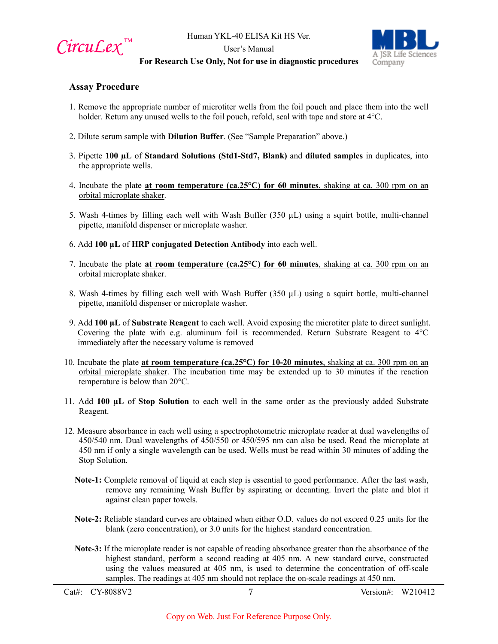

User's Manual



#### **For Research Use Only, Not for use in diagnostic procedures**

#### **Assay Procedure**

- 1. Remove the appropriate number of microtiter wells from the foil pouch and place them into the well holder. Return any unused wells to the foil pouch, refold, seal with tape and store at 4°C.
- 2. Dilute serum sample with **Dilution Buffer**. (See "Sample Preparation" above.)
- 3. Pipette **100 µL** of **Standard Solutions (Std1-Std7, Blank)** and **diluted samples** in duplicates, into the appropriate wells.
- 4. Incubate the plate **at room temperature (ca.25°C) for 60 minutes**, shaking at ca. 300 rpm on an orbital microplate shaker.
- 5. Wash 4-times by filling each well with Wash Buffer  $(350 \mu L)$  using a squirt bottle, multi-channel pipette, manifold dispenser or microplate washer.
- 6. Add **100 µL** of **HRP conjugated Detection Antibody** into each well.
- 7. Incubate the plate **at room temperature (ca.25°C) for 60 minutes**, shaking at ca. 300 rpm on an orbital microplate shaker.
- 8. Wash 4-times by filling each well with Wash Buffer  $(350 \mu L)$  using a squirt bottle, multi-channel pipette, manifold dispenser or microplate washer.
- 9. Add **100 µL** of **Substrate Reagent** to each well. Avoid exposing the microtiter plate to direct sunlight. Covering the plate with e.g. aluminum foil is recommended. Return Substrate Reagent to  $4^{\circ}$ C immediately after the necessary volume is removed
- 10. Incubate the plate **at room temperature (ca.25°C) for 10-20 minutes**, shaking at ca. 300 rpm on an orbital microplate shaker. The incubation time may be extended up to 30 minutes if the reaction temperature is below than 20°C.
- 11. Add **100 µL** of **Stop Solution** to each well in the same order as the previously added Substrate Reagent.
- 12. Measure absorbance in each well using a spectrophotometric microplate reader at dual wavelengths of 450/540 nm. Dual wavelengths of 450/550 or 450/595 nm can also be used. Read the microplate at 450 nm if only a single wavelength can be used. Wells must be read within 30 minutes of adding the Stop Solution.
	- **Note-1:** Complete removal of liquid at each step is essential to good performance. After the last wash, remove any remaining Wash Buffer by aspirating or decanting. Invert the plate and blot it against clean paper towels.
	- **Note-2:** Reliable standard curves are obtained when either O.D. values do not exceed 0.25 units for the blank (zero concentration), or 3.0 units for the highest standard concentration.
	- **Note-3:** If the microplate reader is not capable of reading absorbance greater than the absorbance of the highest standard, perform a second reading at 405 nm. A new standard curve, constructed using the values measured at 405 nm, is used to determine the concentration of off-scale samples. The readings at 405 nm should not replace the on-scale readings at 450 nm.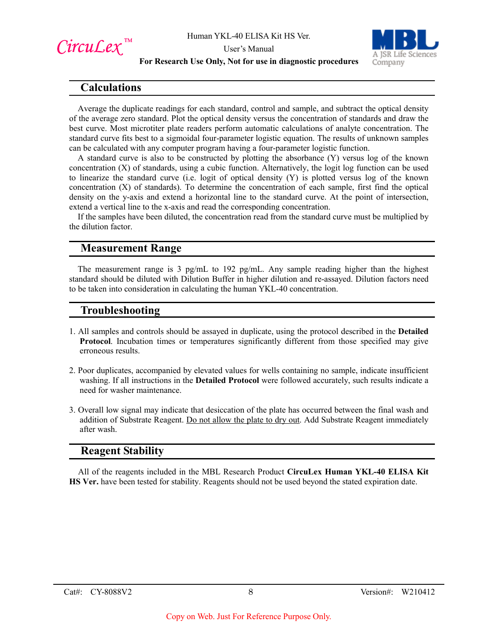

User's Manual



#### **For Research Use Only, Not for use in diagnostic procedures**

# **Calculations**

Average the duplicate readings for each standard, control and sample, and subtract the optical density of the average zero standard. Plot the optical density versus the concentration of standards and draw the best curve. Most microtiter plate readers perform automatic calculations of analyte concentration. The standard curve fits best to a sigmoidal four-parameter logistic equation. The results of unknown samples can be calculated with any computer program having a four-parameter logistic function.

A standard curve is also to be constructed by plotting the absorbance (Y) versus log of the known concentration (X) of standards, using a cubic function. Alternatively, the logit log function can be used to linearize the standard curve (i.e. logit of optical density (Y) is plotted versus log of the known concentration (X) of standards). To determine the concentration of each sample, first find the optical density on the y-axis and extend a horizontal line to the standard curve. At the point of intersection, extend a vertical line to the x-axis and read the corresponding concentration.

If the samples have been diluted, the concentration read from the standard curve must be multiplied by the dilution factor.

# **Measurement Range**

The measurement range is 3 pg/mL to 192 pg/mL. Any sample reading higher than the highest standard should be diluted with Dilution Buffer in higher dilution and re-assayed. Dilution factors need to be taken into consideration in calculating the human YKL-40 concentration.

#### **Troubleshooting**

- 1. All samples and controls should be assayed in duplicate, using the protocol described in the **Detailed Protocol**. Incubation times or temperatures significantly different from those specified may give erroneous results.
- 2. Poor duplicates, accompanied by elevated values for wells containing no sample, indicate insufficient washing. If all instructions in the **Detailed Protocol** were followed accurately, such results indicate a need for washer maintenance.
- 3. Overall low signal may indicate that desiccation of the plate has occurred between the final wash and addition of Substrate Reagent. Do not allow the plate to dry out. Add Substrate Reagent immediately after wash.

# **Reagent Stability**

All of the reagents included in the MBL Research Product **CircuLex Human YKL-40 ELISA Kit HS Ver.** have been tested for stability. Reagents should not be used beyond the stated expiration date.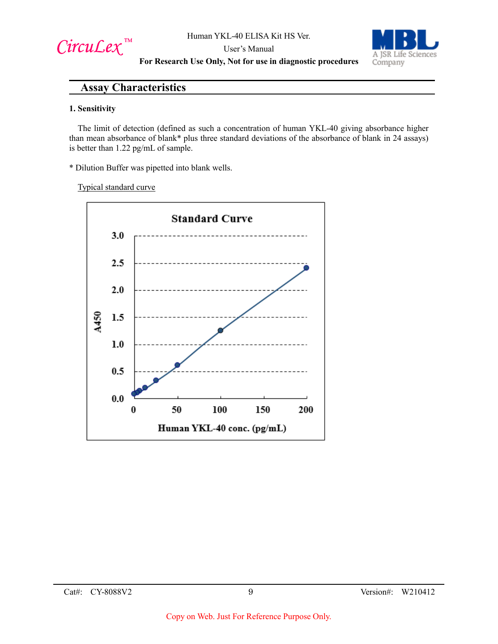

User's Manual



**For Research Use Only, Not for use in diagnostic procedures**

# **Assay Characteristics**

#### **1. Sensitivity**

The limit of detection (defined as such a concentration of human YKL-40 giving absorbance higher than mean absorbance of blank\* plus three standard deviations of the absorbance of blank in 24 assays) is better than 1.22 pg/mL of sample.

\* Dilution Buffer was pipetted into blank wells.

Typical standard curve

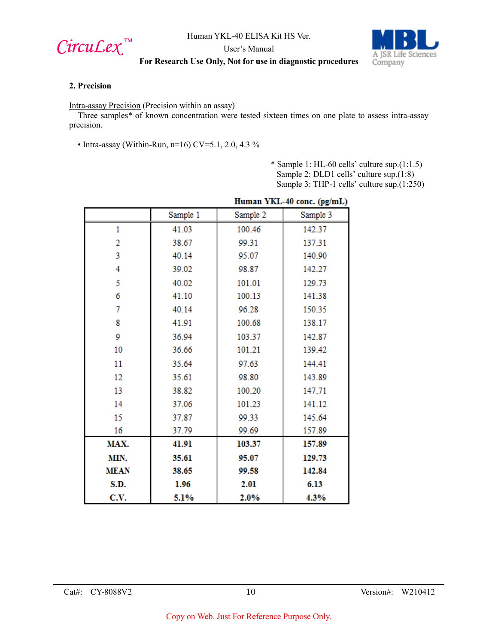

User's Manual



#### **For Research Use Only, Not for use in diagnostic procedures**

#### **2. Precision**

Intra-assay Precision (Precision within an assay)

Three samples\* of known concentration were tested sixteen times on one plate to assess intra-assay precision.

• Intra-assay (Within-Run, n=16) CV=5.1, 2.0, 4.3 %

\* Sample 1: HL-60 cells' culture sup.(1:1.5) Sample 2: DLD1 cells' culture sup.(1:8) Sample 3: THP-1 cells' culture sup.(1:250)

|             | Sample 1 | Sample 2 | Sample 3 |
|-------------|----------|----------|----------|
|             |          |          |          |
| 1           | 41.03    | 100.46   | 142.37   |
| 2           | 38.67    | 99.31    | 137.31   |
| 3           | 40.14    | 95.07    | 140.90   |
| 4           | 39.02    | 98.87    | 142.27   |
| 5           | 40.02    | 101.01   | 129.73   |
| 6           | 41.10    | 100.13   | 141.38   |
| 7           | 40.14    | 96.28    | 150.35   |
| 8           | 41.91    | 100.68   | 138.17   |
| 9           | 36.94    | 103.37   | 142.87   |
| 10          | 36.66    | 101.21   | 139.42   |
| 11          | 35.64    | 97.63    | 144.41   |
| 12          | 35.61    | 98.80    | 143.89   |
| 13          | 38.82    | 100.20   | 147.71   |
| 14          | 37.06    | 101.23   | 141.12   |
| 15          | 37.87    | 99.33    | 145.64   |
| 16          | 37.79    | 99.69    | 157.89   |
| MAX.        | 41.91    | 103.37   | 157.89   |
| MIN.        | 35.61    | 95.07    | 129.73   |
| <b>MEAN</b> | 38.65    | 99.58    | 142.84   |
| S.D.        | 1.96     | 2.01     | 6.13     |
| C.V.        | 5.1%     | 2.0%     | 4.3%     |

# Human YKL-40 conc. (pg/mL)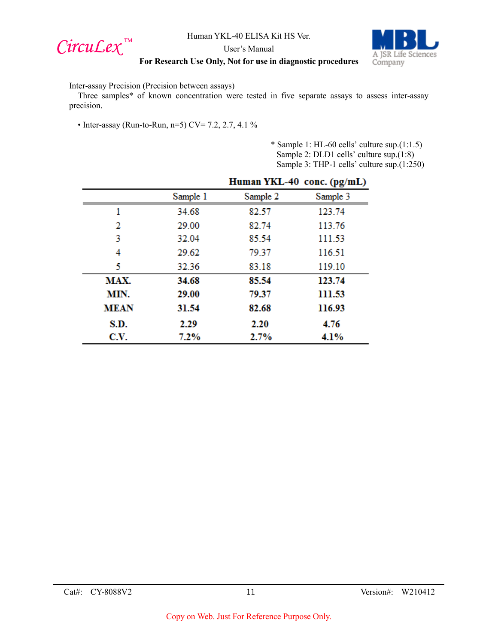

User's Manual



# **For Research Use Only, Not for use in diagnostic procedures**

#### Inter-assay Precision (Precision between assays)

Three samples\* of known concentration were tested in five separate assays to assess inter-assay precision.

• Inter-assay (Run-to-Run,  $n=5$ ) CV= 7.2, 2.7, 4.1 %

\* Sample 1: HL-60 cells' culture sup.(1:1.5) Sample 2: DLD1 cells' culture sup.(1:8) Sample 3: THP-1 cells' culture sup.(1:250)

|             |          |          | Human YKL-40 conc. (pg/mL) |
|-------------|----------|----------|----------------------------|
|             | Sample 1 | Sample 2 | Sample 3                   |
| 1           | 34.68    | 82.57    | 123.74                     |
| 2           | 29.00    | 82.74    | 113.76                     |
| 3           | 32.04    | 85.54    | 111.53                     |
| 4           | 29.62    | 79.37    | 116.51                     |
| 5           | 32.36    | 83.18    | 119.10                     |
| MAX.        | 34.68    | 85.54    | 123.74                     |
| MIN.        | 29.00    | 79.37    | 111.53                     |
| <b>MEAN</b> | 31.54    | 82.68    | 116.93                     |
| S.D.        | 2.29     | 2.20     | 4.76                       |
| C.V.        | $7.2\%$  | 2.7%     | 4.1%                       |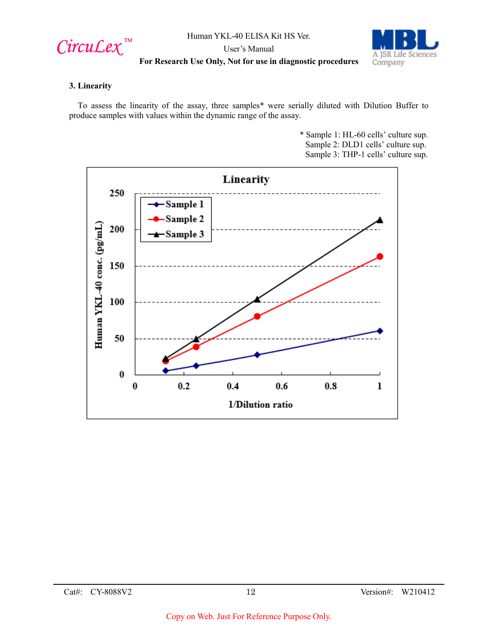

User's Manual



# **For Research Use Only, Not for use in diagnostic procedures**

#### **3. Linearity**

To assess the linearity of the assay, three samples\* were serially diluted with Dilution Buffer to produce samples with values within the dynamic range of the assay.

> \* Sample 1: HL-60 cells' culture sup. Sample 2: DLD1 cells' culture sup. Sample 3: THP-1 cells' culture sup.

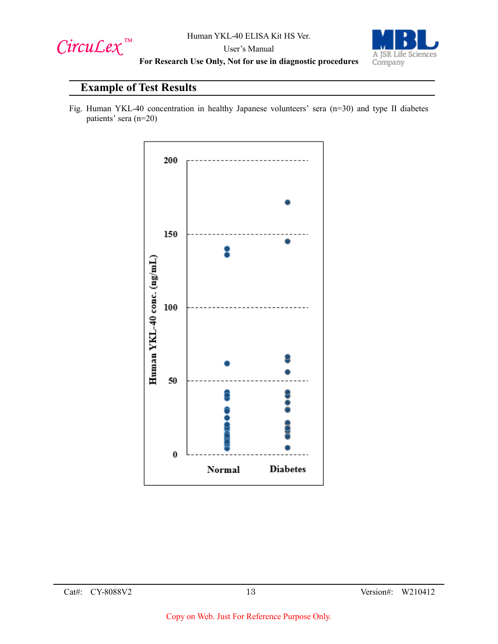

User's Manual



## **For Research Use Only, Not for use in diagnostic procedures**

# **Example of Test Results**

Fig. Human YKL-40 concentration in healthy Japanese volunteers' sera (n=30) and type II diabetes patients' sera (n=20)

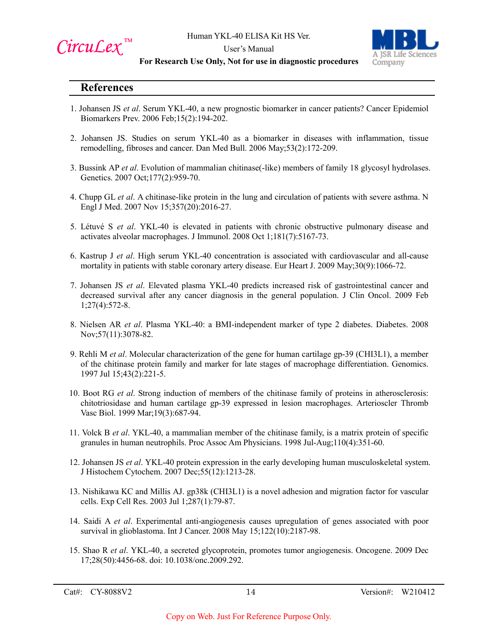

User's Manual



#### **For Research Use Only, Not for use in diagnostic procedures**

#### **References**

- 1. Johansen JS *et al*. Serum YKL-40, a new prognostic biomarker in cancer patients? Cancer Epidemiol Biomarkers Prev. 2006 Feb;15(2):194-202.
- 2. Johansen JS. Studies on serum YKL-40 as a biomarker in diseases with inflammation, tissue remodelling, fibroses and cancer. Dan Med Bull. 2006 May;53(2):172-209.
- 3. Bussink AP *et al*. Evolution of mammalian chitinase(-like) members of family 18 glycosyl hydrolases. Genetics. 2007 Oct;177(2):959-70.
- 4. Chupp GL *et al*. A chitinase-like protein in the lung and circulation of patients with severe asthma. N Engl J Med. 2007 Nov 15;357(20):2016-27.
- 5. Létuvé S *et al*. YKL-40 is elevated in patients with chronic obstructive pulmonary disease and activates alveolar macrophages. J Immunol. 2008 Oct 1;181(7):5167-73.
- 6. Kastrup J *et al*. High serum YKL-40 concentration is associated with cardiovascular and all-cause mortality in patients with stable coronary artery disease. Eur Heart J. 2009 May;30(9):1066-72.
- 7. Johansen JS *et al*. Elevated plasma YKL-40 predicts increased risk of gastrointestinal cancer and decreased survival after any cancer diagnosis in the general population. J Clin Oncol. 2009 Feb 1;27(4):572-8.
- 8. Nielsen AR *et al*. Plasma YKL-40: a BMI-independent marker of type 2 diabetes. Diabetes. 2008 Nov;57(11):3078-82.
- 9. Rehli M *et al*. Molecular characterization of the gene for human cartilage gp-39 (CHI3L1), a member of the chitinase protein family and marker for late stages of macrophage differentiation. Genomics. 1997 Jul 15;43(2):221-5.
- 10. Boot RG *et al*. Strong induction of members of the chitinase family of proteins in atherosclerosis: chitotriosidase and human cartilage gp-39 expressed in lesion macrophages. Arterioscler Thromb Vasc Biol. 1999 Mar;19(3):687-94.
- 11. Volck B *et al*. YKL-40, a mammalian member of the chitinase family, is a matrix protein of specific granules in human neutrophils. Proc Assoc Am Physicians. 1998 Jul-Aug;110(4):351-60.
- 12. Johansen JS *et al*. YKL-40 protein expression in the early developing human musculoskeletal system. J Histochem Cytochem. 2007 Dec;55(12):1213-28.
- 13. Nishikawa KC and Millis AJ. gp38k (CHI3L1) is a novel adhesion and migration factor for vascular cells. Exp Cell Res. 2003 Jul 1;287(1):79-87.
- 14. Saidi A *et al*. Experimental anti-angiogenesis causes upregulation of genes associated with poor survival in glioblastoma. Int J Cancer. 2008 May 15;122(10):2187-98.
- 15. Shao R *et al*. YKL-40, a secreted glycoprotein, promotes tumor angiogenesis. Oncogene. 2009 Dec 17;28(50):4456-68. doi: 10.1038/onc.2009.292.